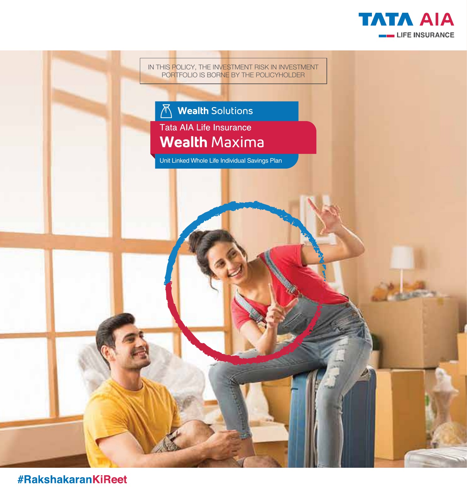



#RakshakaranKiReet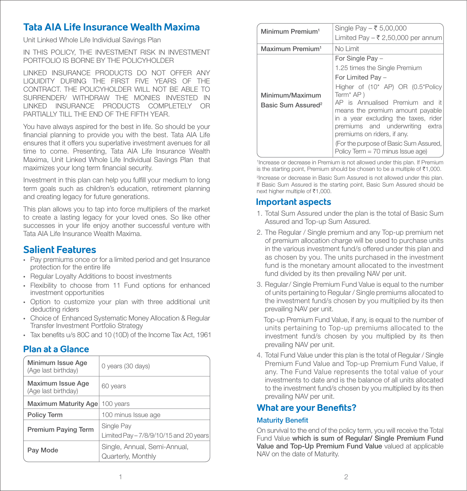# **Tata AIA Life Insurance Wealth Maxima**

Unit Linked Whole Life Individual Savings Plan

IN THIS POLICY, THE INVESTMENT RISK IN INVESTMENT PORTFOLIO IS BORNE BY THE POLICYHOLDER

LINKED INSURANCE PRODUCTS DO NOT OFFER ANY LIQUIDITY DURING THE FIRST FIVE YEARS OF THE CONTRACT. THE POLICYHOLDER WILL NOT BE ABLE TO SURRENDER/ WITHDRAW THE MONIES INVESTED IN LINKED INSURANCE PRODUCTS COMPLETELY OR PARTIALLY TILL THE END OF THE FIFTH YEAR.

You have always aspired for the best in life. So should be your financial planning to provide you with the best. Tata AIA Life ensures that it offers you superlative investment avenues for all time to come. Presenting, Tata AIA Life Insurance Wealth Maxima, Unit Linked Whole Life Individual Savings Plan that maximizes your long term financial security.

Investment in this plan can help you fulfill your medium to long term goals such as children's education, retirement planning and creating legacy for future generations.

This plan allows you to tap into force multipliers of the market to create a lasting legacy for your loved ones. So like other successes in your life enjoy another successful venture with Tata AIA Life Insurance Wealth Maxima.

# **Salient Features**

- Pay premiums once or for a limited period and get Insurance protection for the entire life
- Regular Loyalty Additions to boost investments
- Flexibility to choose from 11 Fund options for enhanced investment opportunities
- Option to customize your plan with three additional unit deducting riders
- Choice of Enhanced Systematic Money Allocation & Regular Transfer Investment Portfolio Strategy
- $\cdot$  Tax benefits u/s 80C and 10 (10D) of the Income Tax Act, 1961

# **Plan at a Glance**

| Minimum Issue Age<br>(Age last birthday) | 0 years (30 days)                                    |
|------------------------------------------|------------------------------------------------------|
| Maximum Issue Age<br>(Age last birthday) | 60 years                                             |
| Maximum Maturity Age                     | 100 years                                            |
| <b>Policy Term</b>                       | 100 minus Issue age                                  |
| <b>Premium Paying Term</b>               | Single Pay<br>Limited Pay - 7/8/9/10/15 and 20 years |
| Pay Mode                                 | Single, Annual, Semi-Annual,<br>Quarterly, Monthly   |

| Minimum Premium <sup>1</sup>                      | Single Pay $-$ ₹ 5,00,000<br>Limited Pay – ₹ 2,50,000 per annum                                                                                                                                                                                                                                                                                                                                               |
|---------------------------------------------------|---------------------------------------------------------------------------------------------------------------------------------------------------------------------------------------------------------------------------------------------------------------------------------------------------------------------------------------------------------------------------------------------------------------|
| Maximum Premium <sup>1</sup>                      | No Limit                                                                                                                                                                                                                                                                                                                                                                                                      |
| Minimum/Maximum<br>Basic Sum Assured <sup>2</sup> | For Single Pay -<br>1.25 times the Single Premium<br>For Limited Pay -<br>Higher of $(10^*$ AP) OR $(0.5^*$ Policy<br>Term <sup>*</sup> AP)<br>AP is Annualised Premium and it<br>means the premium amount payable<br>in a year excluding the taxes, rider<br>premiums and underwriting extra<br>premiums on riders, if any.<br>(For the purpose of Basic Sum Assured,<br>Policy Term $= 70$ minus Issue age) |

1 Increase or decrease in Premium is not allowed under this plan. If Premium is the starting point. Premium should be chosen to be a multiple of  $\bar{\tau}1,000$ .

2 Increase or decrease in Basic Sum Assured is not allowed under this plan. If Basic Sum Assured is the starting point, Basic Sum Assured should be next higher multiple of  $\bar{\tau}1,000$ .

# **Important aspects**

- 1. Total Sum Assured under the plan is the total of Basic Sum Assured and Top-up Sum Assured.
- 2. The Regular / Single premium and any Top-up premium net of premium allocation charge will be used to purchase units in the various investment fund/s offered under this plan and as chosen by you. The units purchased in the investment fund is the monetary amount allocated to the investment fund divided by its then prevailing NAV per unit.
- 3. Regular/ Single Premium Fund Value is equal to the number of units pertaining to Regular / Single premiums allocated to the investment fund/s chosen by you multiplied by its then prevailing NAV per unit.

 Top-up Premium Fund Value, if any, is equal to the number of units pertaining to Top-up premiums allocated to the investment fund/s chosen by you multiplied by its then prevailing NAV per unit.

4. Total Fund Value under this plan is the total of Regular / Single Premium Fund Value and Top-up Premium Fund Value, if any. The Fund Value represents the total value of your investments to date and is the balance of all units allocated to the investment fund/s chosen by you multiplied by its then prevailing NAV per unit.

# **What are your Benefits?**

# **Maturity Benefit**

On survival to the end of the policy term, you will receive the Total Fund Value which is sum of Regular/ Single Premium Fund Value and Top-Up Premium Fund Value valued at applicable NAV on the date of Maturity.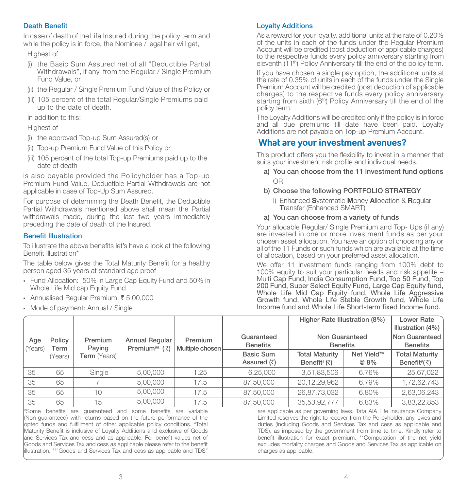# Death Benefit

In case of death of the Life Insured during the policy term and while the policy is in force, the Nominee  $\overline{\ell}$  legal heir will get,

Highest of

- (i) the Basic Sum Assured net of all "Deductible Partial Withdrawals", if any, from the Regular / Single Premium Fund Value, or
- (ii) the Regular / Single Premium Fund Value of this Policy or
- (iii) 105 percent of the total Regular/Single Premiums paid up to the date of death.

In addition to this:

#### Highest of

- (i) the approved Top-up Sum Assured(s) or
- (ii) Top-up Premium Fund Value of this Policy or
- (iii) 105 percent of the total Top-up Premiums paid up to the date of death

is also payable provided the Policyholder has a Top-up Premium Fund Value. Deductible Partial Withdrawals are not applicable in case of Top-Up Sum Assured.

For purpose of determining the Death Benefit, the Deductible Partial Withdrawals mentioned above shall mean the Partial withdrawals made, during the last two years immediately preceding the date of death of the Insured.

#### **Benefit Illustration**

To illustrate the above benefits let's have a look at the following Benefit Illustration\*

The table below gives the Total Maturity Benefit for a healthy person aged 35 years at standard age proof

- Fund Allocation: 50% in Large Cap Equity Fund and 50% in Whole Life Mid cap Equity Fund
- Annualised Regular Premium: ₹5,00,000
- Mode of payment: Annual / Single

# Loyalty Additions

As a reward for your loyalty, additional units at the rate of 0.20% of the units in each of the funds under the Regular Premium Account will be credited (post deduction of applicable charges) to the respective funds every policy anniversary starting from eleventh (11<sup>th</sup>) Policy Anniversary till the end of the policy term.

If you have chosen a single pay option, the additional units at the rate of 0.35% of units in each of the funds under the Single Premium Account will be credited (post deduction of applicable charges) to the respective funds every policy anniversary starting from sixth (6<sup>th</sup>) Policy Anniversary till the end of the policy term.

The Loyalty Additions will be credited only if the policy is in force and all due premiums till date have been paid. Loyalty Additions are not payable on Top-up Premium Account.

# **What are your investment avenues?**

This product offers you the flexibility to invest in a manner that suits your investment risk profile and individual needs.

 a) You can choose from the 11 investment fund options OR

# b) Choose the following PORTFOLIO STRATEGY

 I) Enhanced Systematic Money Allocation & Regular Transfer (Enhanced SMART)

#### a) You can choose from a variety of funds

Your allocable Regular/ Single Premium and Top- Ups (if any) are invested in one or more investment funds as per your chosen asset allocation. You have an option of choosing any or all of the 11 Funds or such funds which are available at the time of allocation, based on your preferred asset allocation.

We offer 11 investment funds ranging from 100% debt to 100% equity to suit your particular needs and risk appetite – Multi Cap Fund, India Consumption Fund, Top 50 Fund, Top 200 Fund, Super Select Equity Fund, Large Cap Equity fund, Whole Life Mid Cap Equity fund, Whole Life Aggressive Growth fund, Whole Life Stable Growth fund, Whole Life Income fund and Whole Life Short-term fixed Income fund.

|                |                |                     |                                               |                            |                                           | Higher Rate Illustration (8%)                        |                     | Lower Rate<br>Illustration (4%)                           |
|----------------|----------------|---------------------|-----------------------------------------------|----------------------------|-------------------------------------------|------------------------------------------------------|---------------------|-----------------------------------------------------------|
| Age<br>(Years) | Policy<br>Term | Premium<br>Paying   | Annual Regular<br>Premium <sup>##</sup> $(3)$ | Premium<br>Multiple chosen | Guaranteed<br><b>Benefits</b>             | Non Guaranteed<br><b>Benefits</b>                    |                     | Non Guaranteed<br><b>Benefits</b>                         |
|                | (Years)        | <b>Term</b> (Years) |                                               |                            | Basic Sum<br>Assured $(\overline{\zeta})$ | <b>Total Maturity</b><br>Benefit <sup>#</sup> $($ ₹) | Net Yield**<br>@ 8% | <b>Total Maturity</b><br>Benefit <sup>#</sup> $(\bar{z})$ |
| 35             | 65             | Single              | 5.00.000                                      | 1.25                       | 6.25.000                                  | 3,51,83,506                                          | 6.76%               | 25,67,022                                                 |
| 35             | 65             |                     | 5,00,000                                      | 17.5                       | 87,50,000                                 | 20,12,29,962                                         | 6.79%               | 1,72,62,743                                               |
| 35             | 65             | 10                  | 5,00,000                                      | 17.5                       | 87,50,000                                 | 26,87,73,032                                         | 6.80%               | 2,63,06,243                                               |
| 35             | 65             | 15                  | 5,00,000                                      | 17.5                       | 87,50,000                                 | 35,53,92,777                                         | 6.83%               | 3,83,22,853                                               |

\*Some benefits are guaranteed and some benefits are variable (Non-guaranteed) with returns based on the future performance of the opted funds and fulfillment of other applicable policy conditions. #Total Maturity Benefit is inclusive of Loyalty Additions and exclusive of Goods land Services Tax and cess and as applicable. For benefit values net of Goods and Services Tax and cess as applicable please refer to the benefit illustration. ##"Goods and Services Tax and cess as applicable and TDS"

are applicable as per governing laws. Tata AIA Life Insurance Company Limited reserves the right to recover from the Policyholder, any levies and duties (including Goods and Services Tax and cess as applicable and TDS), as imposed by the government from time to time. Kindly refer to benefit illustration for exact premium. \*\*Computation of the net yield excludes mortality charges and Goods and Services Tax as applicable on charges as applicable.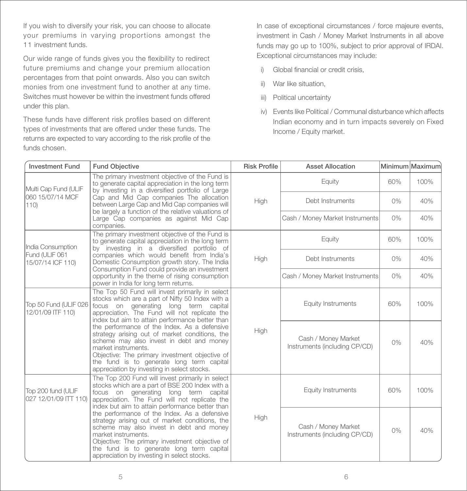If you wish to diversify your risk, you can choose to allocate your premiums in varying proportions amongst the 11 investment funds.

Our wide range of funds gives you the flexibility to redirect future premiums and change your premium allocation percentages from that point onwards. Also you can switch monies from one investment fund to another at any time. Switches must however be within the investment funds offered under this plan.

These funds have different risk profiles based on different types of investments that are offered under these funds. The returns are expected to vary according to the risk profile of the funds chosen.

In case of exceptional circumstances / force majeure events, investment in Cash / Money Market Instruments in all above funds may go up to 100%, subject to prior approval of IRDAI. Exceptional circumstances may include:

- i) Global financial or credit crisis,
- ii) War like situation,
- iii) Political uncertainty
- iv) Events like Political / Communal disturbance which affects Indian economy and in turn impacts severely on Fixed Income / Equity market.

| <b>Investment Fund</b>                                                                                                                                                                                                                                                                                                                                                                                                                                                                                                                                                                                             | <b>Fund Objective</b>                                                                                                                                                                                                                            | <b>Risk Profile</b> | <b>Asset Allocation</b>                              |       | Minimum Maximum |
|--------------------------------------------------------------------------------------------------------------------------------------------------------------------------------------------------------------------------------------------------------------------------------------------------------------------------------------------------------------------------------------------------------------------------------------------------------------------------------------------------------------------------------------------------------------------------------------------------------------------|--------------------------------------------------------------------------------------------------------------------------------------------------------------------------------------------------------------------------------------------------|---------------------|------------------------------------------------------|-------|-----------------|
| Multi Cap Fund (ULIF                                                                                                                                                                                                                                                                                                                                                                                                                                                                                                                                                                                               | The primary investment objective of the Fund is<br>to generate capital appreciation in the long term<br>by investing in a diversified portfolio of Large                                                                                         |                     | Equity                                               | 60%   | 100%            |
| 060 15/07/14 MCF<br>110                                                                                                                                                                                                                                                                                                                                                                                                                                                                                                                                                                                            | Cap and Mid Cap companies The allocation<br>between Large Cap and Mid Cap companies will<br>be largely a function of the relative valuations of                                                                                                  | High                | Debt Instruments                                     | 0%    | 40%             |
|                                                                                                                                                                                                                                                                                                                                                                                                                                                                                                                                                                                                                    | Large Cap companies as against Mid Cap<br>companies.                                                                                                                                                                                             |                     | Cash / Money Market Instruments                      | $0\%$ | 40%             |
| The primary investment objective of the Fund is<br>to generate capital appreciation in the long term<br>India Consumption<br>by investing in a diversified portfolio of                                                                                                                                                                                                                                                                                                                                                                                                                                            |                                                                                                                                                                                                                                                  |                     | Equity                                               | 60%   | 100%            |
| Fund (ULIF 061<br>15/07/14 ICF 110)                                                                                                                                                                                                                                                                                                                                                                                                                                                                                                                                                                                | companies which would benefit from India's<br>Domestic Consumption growth story. The India<br>Consumption Fund could provide an investment                                                                                                       | High                | Debt Instruments                                     | $0\%$ | 40%             |
|                                                                                                                                                                                                                                                                                                                                                                                                                                                                                                                                                                                                                    | opportunity in the theme of rising consumption<br>power in India for long term returns.                                                                                                                                                          |                     | Cash / Money Market Instruments                      | 0%    | 40%             |
| Top 50 Fund (ULIF 026<br>12/01/09 ITF 110)                                                                                                                                                                                                                                                                                                                                                                                                                                                                                                                                                                         | The Top 50 Fund will invest primarily in select<br>stocks which are a part of Nifty 50 Index with a<br>focus on generating long term capital<br>appreciation. The Fund will not replicate the<br>index but aim to attain performance better than |                     | Equity Instruments                                   | 60%   | 100%            |
| the performance of the Index. As a defensive<br>strategy arising out of market conditions, the<br>scheme may also invest in debt and money<br>market instruments.<br>Objective: The primary investment objective of<br>the fund is to generate long term capital<br>appreciation by investing in select stocks.                                                                                                                                                                                                                                                                                                    |                                                                                                                                                                                                                                                  | High                | Cash / Money Market<br>Instruments (including CP/CD) | $0\%$ | 40%             |
| The Top 200 Fund will invest primarily in select<br>stocks which are a part of BSE 200 Index with a<br>Top 200 fund (ULIF<br>focus on generating long term capital<br>027 12/01/09 ITT 110)<br>appreciation. The Fund will not replicate the<br>index but aim to attain performance better than<br>the performance of the Index. As a defensive<br>strategy arising out of market conditions, the<br>scheme may also invest in debt and money<br>market instruments.<br>Objective: The primary investment objective of<br>the fund is to generate long term capital<br>appreciation by investing in select stocks. |                                                                                                                                                                                                                                                  |                     | Equity Instruments                                   | 60%   | 100%            |
|                                                                                                                                                                                                                                                                                                                                                                                                                                                                                                                                                                                                                    |                                                                                                                                                                                                                                                  | High                | Cash / Money Market<br>Instruments (including CP/CD) | $0\%$ | 40%             |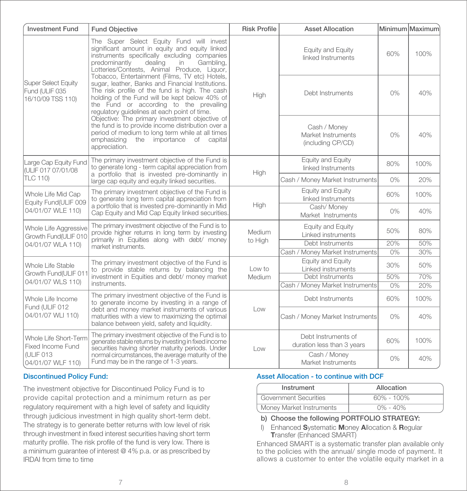| <b>Investment Fund</b>                                                                                                                                                                                               | <b>Fund Objective</b>                                                                                                                                                                                                                                                                             |         | <b>Asset Allocation</b>                                 |       | Minimum Maximum |
|----------------------------------------------------------------------------------------------------------------------------------------------------------------------------------------------------------------------|---------------------------------------------------------------------------------------------------------------------------------------------------------------------------------------------------------------------------------------------------------------------------------------------------|---------|---------------------------------------------------------|-------|-----------------|
|                                                                                                                                                                                                                      | The Super Select Equity Fund will invest<br>significant amount in equity and equity linked<br>instruments specifically excluding companies<br>predominantly<br>dealing<br>Gambling.<br>in<br>Lotteries/Contests, Animal Produce, Liquor,                                                          |         | Equity and Equity<br>linked Instruments                 | 60%   | 100%            |
| Super Select Equity<br>Fund (ULIF 035<br>16/10/09 TSS 110)                                                                                                                                                           | Tobacco, Entertainment (Films, TV etc) Hotels,<br>sugar, leather, Banks and Financial Institutions.<br>The risk profile of the fund is high. The cash<br>holding of the Fund will be kept below 40% of<br>the Fund or according to the prevailing<br>regulatory guidelines at each point of time. | High    | Debt Instruments                                        | $0\%$ | 40%             |
| Objective: The primary investment objective of<br>the fund is to provide income distribution over a<br>period of medium to long term while at all times<br>the importance of capital<br>emphasizing<br>appreciation. |                                                                                                                                                                                                                                                                                                   |         | Cash / Money<br>Market Instruments<br>(including CP/CD) | $0\%$ | 40%             |
| The primary investment objective of the Fund is<br>Large Cap Equity Fund<br>to generate long - term capital appreciation from<br>(ULIF 017 07/01/08                                                                  |                                                                                                                                                                                                                                                                                                   | High    | Equity and Equity<br>linked Instruments                 | 80%   | 100%            |
| TLC 110)                                                                                                                                                                                                             | a portfolio that is invested pre-dominantly in<br>large cap equity and equity linked securities.                                                                                                                                                                                                  |         | Cash / Money Market Instruments                         | $0\%$ | 20%             |
| The primary investment objective of the Fund is<br>Whole Life Mid Cap<br>to generate long term capital appreciation from<br>Equity Fund(ULIF 009                                                                     |                                                                                                                                                                                                                                                                                                   |         | Equity and Equity<br>linked Instruments                 | 60%   | 100%            |
| 04/01/07 WLE 110)                                                                                                                                                                                                    | a portfolio that is invested pre-dominantly in Mid<br>Cap Equity and Mid Cap Equity linked securities.                                                                                                                                                                                            | High    | Cash/ Money<br>Market Instruments                       | 0%    | 40%             |
| The primary investment objective of the Fund is to<br>Whole Life Aggressive<br>provide higher returns in long term by investing<br>Growth Fund(ULIF 010                                                              |                                                                                                                                                                                                                                                                                                   | Medium  | Equity and Equity<br>Linked instruments                 | 50%   | 80%             |
| 04/01/07 WLA 110)                                                                                                                                                                                                    | primarily in Equities along with debt/ money<br>market instruments.                                                                                                                                                                                                                               | to High | Debt Instruments                                        | 20%   | 50%             |
|                                                                                                                                                                                                                      |                                                                                                                                                                                                                                                                                                   |         | Cash / Money Market Instruments                         | $0\%$ | 30%             |
| Whole Life Stable<br>Growth Fund(ULIF 011                                                                                                                                                                            | The primary investment objective of the Fund is<br>to provide stable returns by balancing the                                                                                                                                                                                                     | Low to  | Equity and Equity<br>Linked instruments                 | 30%   | 50%             |
| 04/01/07 WLS 110)                                                                                                                                                                                                    | investment in Equities and debt/ money market                                                                                                                                                                                                                                                     | Medium  | Debt Instruments                                        | 50%   | 70%             |
|                                                                                                                                                                                                                      | instruments.                                                                                                                                                                                                                                                                                      |         | Cash / Money Market Instruments                         | 0%    | 20%             |
| The primary investment objective of the Fund is<br>Whole Life Income<br>to generate income by investing in a range of                                                                                                |                                                                                                                                                                                                                                                                                                   |         | Debt Instruments                                        | 60%   | 100%            |
| Fund (ULIF 012<br>04/01/07 WLI 110)                                                                                                                                                                                  | debt and money market instruments of various<br>maturities with a view to maximizing the optimal<br>balance between yield, safety and liquidity.                                                                                                                                                  | Low     | Cash / Money Market Instruments                         | 0%    | 40%             |
| Whole Life Short-Term<br>Fixed Income Fund                                                                                                                                                                           | The primary investment objective of the Fund is to<br>generate stable returns by investing in fixed income                                                                                                                                                                                        | Low     | Debt Instruments of<br>duration less than 3 years       | 60%   | 100%            |
| securities having shorter maturity periods. Under<br>(ULIF 013<br>normal circumstances, the average maturity of the<br>Fund may be in the range of 1-3 years.<br>04/01/07 WLF 110)                                   |                                                                                                                                                                                                                                                                                                   |         | Cash / Money<br>Market Instruments                      | $0\%$ | 40%             |

# Discontinued Policy Fund:

The investment objective for Discontinued Policy Fund is to provide capital protection and a minimum return as per regulatory requirement with a high level of safety and liquidity through judicious investment in high quality short-term debt. The strategy is to generate better returns with low level of risk through investment in fixed interest securities having short term maturity profile. The risk profile of the fund is very low. There is a minimum guarantee of interest @ 4% p.a. or as prescribed by IRDAI from time to time

#### Asset Allocation - to continue with DCF

| Instrument               | Allocation     |
|--------------------------|----------------|
| Government Securities    | $60\% - 100\%$ |
| Money Market Instruments | $0\% - 40\%$   |

#### b) Choose the following PORTFOLIO STRATEGY:

I) Enhanced Systematic Money Allocation & Regular Transfer (Enhanced SMART)

Enhanced SMART is a systematic transfer plan available only to the policies with the annual/ single mode of payment. It allows a customer to enter the volatile equity market in a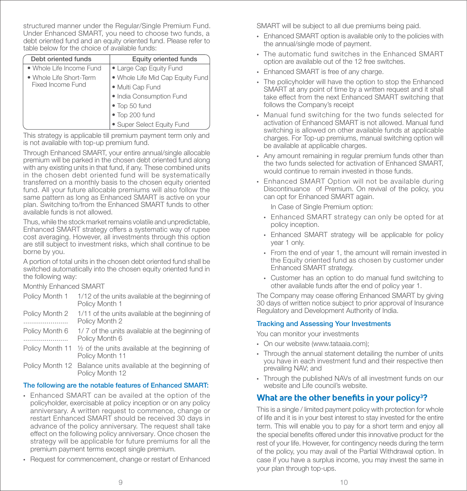structured manner under the Regular/Single Premium Fund. Under Enhanced SMART, you need to choose two funds, a debt oriented fund and an equity oriented fund. Please refer to table below for the choice of available funds:

| Debt oriented funds      | Equity oriented funds                                       |
|--------------------------|-------------------------------------------------------------|
| • Whole Life Income Fund |                                                             |
| • Whole Life Short-Term  | • Large Cap Equity Fund<br>• Whole Life Mid Cap Equity Fund |
| Fixed Income Fund        | · Multi Cap Fund                                            |
|                          | · India Consumption Fund                                    |
|                          | · Top 50 fund                                               |
|                          | · Top 200 fund                                              |
|                          | • Super Select Equity Fund                                  |

This strategy is applicable till premium payment term only and is not available with top-up premium fund.

Through Enhanced SMART, your entire annual/single allocable premium will be parked in the chosen debt oriented fund along with any existing units in that fund, if any. These combined units in the chosen debt oriented fund will be systematically transferred on a monthly basis to the chosen equity oriented fund. All your future allocable premiums will also follow the same pattern as long as Enhanced SMART is active on your plan. Switching to/from the Enhanced SMART funds to other available funds is not allowed.

Thus, while the stock market remains volatile and unpredictable, Enhanced SMART strategy offers a systematic way of rupee cost averaging. However, all investments through this option are still subject to investment risks, which shall continue to be borne by you.

A portion of total units in the chosen debt oriented fund shall be switched automatically into the chosen equity oriented fund in the following way:

Monthly Enhanced SMART

| Policy Month 1 | 1/12 of the units available at the beginning of<br>Policy Month 1 |
|----------------|-------------------------------------------------------------------|
| Policy Month 2 | 1/11 of the units available at the beginning of                   |
|                | Policy Month 2                                                    |
| D <sub>0</sub> | $+7.7$ of the unite oughblood the headershap of                   |

- Policy Month 6 1/ 7 of the units available at the beginning of ....................... Policy Month 6
- Policy Month 11 ½ of the units available at the beginning of Policy Month 11
- Policy Month 12 Balance units available at the beginning of Policy Month 12

# The following are the notable features of Enhanced SMART:

- Enhanced SMART can be availed at the option of the policyholder, exercisable at policy inception or on any policy anniversary. A written request to commence, change or restart Enhanced SMART should be received 30 days in advance of the policy anniversary. The request shall take effect on the following policy anniversary. Once chosen the strategy will be applicable for future premiums for all the premium payment terms except single premium.
- Request for commencement, change or restart of Enhanced

SMART will be subject to all due premiums being paid.

- Enhanced SMART option is available only to the policies with the annual/single mode of payment.
- The automatic fund switches in the Enhanced SMART option are available out of the 12 free switches.
- Enhanced SMART is free of any charge.
- The policyholder will have the option to stop the Enhanced SMART at any point of time by a written request and it shall take effect from the next Enhanced SMART switching that follows the Company's receipt
- Manual fund switching for the two funds selected for activation of Enhanced SMART is not allowed. Manual fund switching is allowed on other available funds at applicable charges. For Top-up premiums, manual switching option will be available at applicable charges.
- Any amount remaining in regular premium funds other than the two funds selected for activation of Enhanced SMART, would continue to remain invested in those funds.
- Enhanced SMART Option will not be available during Discontinuance of Premium. On revival of the policy, you can opt for Enhanced SMART again.

In Case of Single Premium option:

- Enhanced SMART strategy can only be opted for at policy inception.
- Enhanced SMART strategy will be applicable for policy year 1 only.
- From the end of year 1, the amount will remain invested in the Equity oriented fund as chosen by customer under Enhanced SMART strategy.
- Customer has an option to do manual fund switching to other available funds after the end of policy year 1.

The Company may cease offering Enhanced SMART by giving 30 days of written notice subject to prior approval of Insurance Regulatory and Development Authority of India.

# Tracking and Assessing Your Investments

You can monitor your investments

- On our website (www.tataaia.com);
- Through the annual statement detailing the number of units you have in each investment fund and their respective then prevailing NAV; and
- Through the published NAVs of all investment funds on our website and Life council's website.

# **What are the other benefits in your policy<sup>3</sup> ?**

This is a single / limited payment policy with protection for whole of life and it is in your best interest to stay invested for the entire term. This will enable you to pay for a short term and enjoy all the special benefits offered under this innovative product for the rest of your life. However, for contingency needs during the term of the policy, you may avail of the Partial Withdrawal option. In case if you have a surplus income, you may invest the same in your plan through top-ups.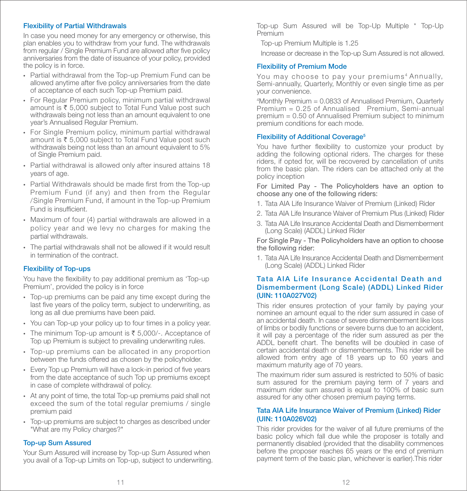#### Flexibility of Partial Withdrawals

In case you need money for any emergency or otherwise, this plan enables you to withdraw from your fund. The withdrawals from regular / Single Premium Fund are allowed after five policy anniversaries from the date of issuance of your policy, provided the policy is in force.

- Partial withdrawal from the Top-up Premium Fund can be allowed anytime after five policy anniversaries from the date of acceptance of each such Top-up Premium paid.
- For Regular Premium policy, minimum partial withdrawal amount is  $\bar{\xi}$  5,000 subject to Total Fund Value post such withdrawals being not less than an amount equivalent to one year's Annualised Regular Premium.
- For Single Premium policy, minimum partial withdrawal amount is  $\bar{\tau}$  5,000 subject to Total Fund Value post such withdrawals being not less than an amount equivalent to 5% of Single Premium paid.
- Partial withdrawal is allowed only after insured attains 18 years of age.
- Partial Withdrawals should be made first from the Top-up Premium Fund (if any) and then from the Regular /Single Premium Fund, if amount in the Top-up Premium Fund is insufficient.
- Maximum of four (4) partial withdrawals are allowed in a policy year and we levy no charges for making the partial withdrawals.
- The partial withdrawals shall not be allowed if it would result in termination of the contract.

# Flexibility of Top-ups

You have the flexibility to pay additional premium as 'Top-up Premium', provided the policy is in force

- Top-up premiums can be paid any time except during the last five years of the policy term, subject to underwriting, as long as all due premiums have been paid.
- You can Top-up your policy up to four times in a policy year.
- The minimum Top-up amount is  $\bar{\xi}$  5,000/-. Acceptance of Top up Premium is subject to prevailing underwriting rules.
- Top-up premiums can be allocated in any proportion between the funds offered as chosen by the policyholder.
- Every Top up Premium will have a lock-in period of five years from the date acceptance of such Top up premiums except in case of complete withdrawal of policy.
- At any point of time, the total Top-up premiums paid shall not exceed the sum of the total regular premiums / single premium paid
- Top-up premiums are subject to charges as described under "What are my Policy charges?"

#### Top-up Sum Assured

Your Sum Assured will increase by Top-up Sum Assured when you avail of a Top-up Limits on Top-up, subject to underwriting. Top-up Sum Assured will be Top-Up Multiple \* Top-Up Premium

Top-up Premium Multiple is 1.25

Increase or decrease in the Top-up Sum Assured is not allowed.

#### Flexibility of Premium Mode

You may choose to pay your premiums<sup>4</sup> Annually, Semi-annually, Quarterly, Monthly or even single time as per your convenience.

4 Monthly Premium = 0.0833 of Annualised Premium, Quarterly Premium = 0.25 of Annualised Premium, Semi-annual premium = 0.50 of Annualised Premium subject to minimum premium conditions for each mode.

#### Flexibility of Additional Coverage<sup>5</sup>

You have further flexibility to customize your product by adding the following optional riders. The charges for these riders, if opted for, will be recovered by cancellation of units from the basic plan. The riders can be attached only at the policy inception

For Limited Pay - The Policyholders have an option to choose any one of the following riders:

- 1. Tata AIA Life Insurance Waiver of Premium (Linked) Rider
- 2. Tata AIA Life Insurance Waiver of Premium Plus (Linked) Rider
- 3. Tata AIA Life Insurance Accidental Death and Dismemberment (Long Scale) (ADDL) Linked Rider

For Single Pay - The Policyholders have an option to choose the following rider:

1. Tata AIA Life Insurance Accidental Death and Dismemberment (Long Scale) (ADDL) Linked Rider

#### Tata AIA Life Insurance Accidental Death and Dismemberment (Long Scale) (ADDL) Linked Rider (UIN: 110A027V02)

This rider ensures protection of your family by paying your nominee an amount equal to the rider sum assured in case of an accidental death. In case of severe dismemberment like loss of limbs or bodily functions or severe burns due to an accident, it will pay a percentage of the rider sum assured as per the ADDL benefit chart. The benefits will be doubled in case of certain accidental death or dismemberments. This rider will be allowed from entry age of 18 years up to 60 years and maximum maturity age of 70 years.

The maximum rider sum assured is restricted to 50% of basic sum assured for the premium paying term of 7 years and maximum rider sum assured is equal to 100% of basic sum assured for any other chosen premium paying terms.

#### Tata AIA Life Insurance Waiver of Premium (Linked) Rider (UIN: 110A026V02)

This rider provides for the waiver of all future premiums of the basic policy which fall due while the proposer is totally and permanently disabled (provided that the disability commences before the proposer reaches 65 years or the end of premium payment term of the basic plan, whichever is earlier).This rider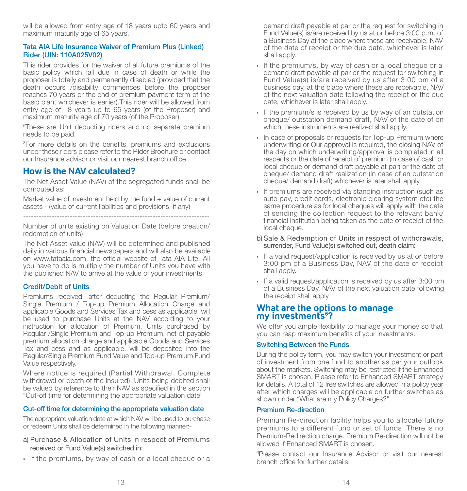will be allowed from entry age of 18 years upto 60 years and maximum maturity age of 65 years.

#### Tata AIA Life Insurance Waiver of Premium Plus (Linked) Rider (UIN: 110A025V02)

This rider provides for the waiver of all future premiums of the basic policy which fall due in case of death or while the proposer is totally and permanently disabled (provided that the death occurs /disability commences before the proposer reaches 70 years or the end of premium payment term of the basic plan, whichever is earlier).This rider will be allowed from entry age of 18 years up to 65 years (of the Proposer) and maximum maturity age of 70 years (of the Proposer).

5 These are Unit deducting riders and no separate premium needs to be paid.

<sup>3</sup>For more details on the benefits, premiums and exclusions under these riders please refer to the Rider Brochure or contact our Insurance advisor or visit our nearest branch office.

# **How is the NAV calculated?**

The Net Asset Value (NAV) of the segregated funds shall be computed as:

Market value of investment held by the fund + value of current assets - (value of current liabilities and provisions, if any)

------------------------------------------------------------------------

Number of units existing on Valuation Date (before creation/ redemption of units)

The Net Asset value (NAV) will be determined and published daily in various financial newspapers and will also be available on www.tataaia.com, the official website of Tata AIA Life. All you have to do is multiply the number of Units you have with the published NAV to arrive at the value of your investments.

# Credit/Debit of Units

Premiums received, after deducting the Regular Premium/ Single Premium / Top-up Premium Allocation Charge and applicable Goods and Services Tax and cess as applicable, will be used to purchase Units at the NAV according to your instruction for allocation of Premium. Units purchased by Regular /Single Premium and Top-up Premium, net of payable premium allocation charge and applicable Goods and Services Tax and cess and as applicable, will be deposited into the Regular/Single Premium Fund Value and Top-up Premium Fund Value respectively.

Where notice is required (Partial Withdrawal, Complete withdrawal or death of the Insured), Units being debited shall be valued by reference to their NAV as specified in the section "Cut-off time for determining the appropriate valuation date"

# Cut-off time for determining the appropriate valuation date

The appropriate valuation date at which NAV will be used to purchase or redeem Units shall be determined in the following manner:-

- a) Purchase & Allocation of Units in respect of Premiums received or Fund Value(s) switched in:
- If the premiums, by way of cash or a local cheque or a

 demand draft payable at par or the request for switching in Fund Value(s) is/are received by us at or before 3:00 p.m. of a Business Day at the place where these are receivable, NAV of the date of receipt or the due date, whichever is later shall apply.

- If the premium/s, by way of cash or a local cheque or a demand draft payable at par or the request for switching in Fund Value(s) is/are received by us after 3:00 pm of a business day, at the place where these are receivable, NAV of the next valuation date following the receipt or the due date, whichever is later shall apply.
- If the premium/s is received by us by way of an outstation cheque/ outstation demand draft, NAV of the date of on which these instruments are realized shall apply.
- In case of proposals or requests for Top-up Premium where underwriting or Our approval is required, the closing NAV of the day on which underwriting/approval is completed in all respects or the date of receipt of premium (in case of cash or local cheque or demand draft payable at par) or the date of cheque/ demand draft realization (in case of an outstation cheque/ demand draft) whichever is later shall apply.
- If premiums are received via standing instruction (such as auto pay, credit cards, electronic clearing system etc) the same procedure as for local cheques will apply with the date of sending the collection request to the relevant bank/ financial institution being taken as the date of receipt of the local cheque.
- b) Sale & Redemption of Units in respect of withdrawals, surrender, Fund Value(s) switched out, death claim:
- If a valid request/application is received by us at or before 3:00 pm of a Business Day, NAV of the date of receipt shall apply.
- If a valid request/application is received by us after 3:00 pm of a Business Day, NAV of the next valuation date following the receipt shall apply.

# **What are the options to manage my investments6 ?**

We offer you ample flexibility to manage your money so that you can reap maximum benefits of your investments.

# Switching Between the Funds

During the policy term, you may switch your investment or part of investment from one fund to another as per your outlook about the markets. Switching may be restricted if the Enhanced SMART is chosen. Please refer to Enhanced SMART strategy for details. A total of 12 free switches are allowed in a policy year after which charges will be applicable on further switches as shown under "What are my Policy Charges?"

#### Premium Re-direction

Premium Re-direction facility helps you to allocate future premiums to a different fund or set of funds. There is no Premium-Redirection charge. Premium Re-direction will not be allowed if Enhanced SMART is chosen.

6 Please contact our Insurance Advisor or visit our nearest branch office for further details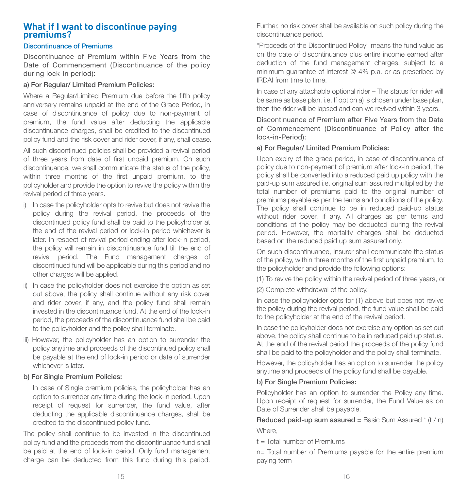# **What if I want to discontinue paying premiums?**

# Discontinuance of Premiums

Discontinuance of Premium within Five Years from the Date of Commencement (Discontinuance of the policy during lock-in period):

#### a) For Regular/ Limited Premium Policies:

Where a Regular/Limited Premium due before the fifth policy anniversary remains unpaid at the end of the Grace Period, in case of discontinuance of policy due to non-payment of premium, the fund value after deducting the applicable discontinuance charges, shall be credited to the discontinued policy fund and the risk cover and rider cover, if any, shall cease.

All such discontinued policies shall be provided a revival period of three years from date of first unpaid premium. On such discontinuance, we shall communicate the status of the policy, within three months of the first unpaid premium, to the policyholder and provide the option to revive the policy within the revival period of three years.

- i) In case the policyholder opts to revive but does not revive the policy during the revival period, the proceeds of the discontinued policy fund shall be paid to the policyholder at the end of the revival period or lock-in period whichever is later. In respect of revival period ending after lock-in period, the policy will remain in discontinuance fund till the end of revival period. The Fund management charges of discontinued fund will be applicable during this period and no other charges will be applied.
- ii) In case the policyholder does not exercise the option as set out above, the policy shall continue without any risk cover and rider cover, if any, and the policy fund shall remain invested in the discontinuance fund. At the end of the lock-in period, the proceeds of the discontinuance fund shall be paid to the policyholder and the policy shall terminate.
- iii) However, the policyholder has an option to surrender the policy anytime and proceeds of the discontinued policy shall be payable at the end of lock-in period or date of surrender whichever is later.

# b) For Single Premium Policies:

 In case of Single premium policies, the policyholder has an option to surrender any time during the lock-in period. Upon receipt of request for surrender, the fund value, after deducting the applicable discontinuance charges, shall be credited to the discontinued policy fund.

The policy shall continue to be invested in the discontinued policy fund and the proceeds from the discontinuance fund shall be paid at the end of lock-in period. Only fund management charge can be deducted from this fund during this period.

Further, no risk cover shall be available on such policy during the discontinuance period.

"Proceeds of the Discontinued Policy" means the fund value as on the date of discontinuance plus entire income earned after deduction of the fund management charges, subject to a minimum guarantee of interest @ 4% p.a. or as prescribed by IRDAI from time to time.

In case of any attachable optional rider – The status for rider will be same as base plan. i.e. If option a) is chosen under base plan, then the rider will be lapsed and can we revived within 3 years.

Discontinuance of Premium after Five Years from the Date of Commencement (Discontinuance of Policy after the lock-in-Period):

#### a) For Regular/ Limited Premium Policies:

Upon expiry of the grace period, in case of discontinuance of policy due to non-payment of premium after lock-in period, the policy shall be converted into a reduced paid up policy with the paid-up sum assured i.e. original sum assured multiplied by the total number of premiums paid to the original number of premiums payable as per the terms and conditions of the policy. The policy shall continue to be in reduced paid-up status without rider cover, if any. All charges as per terms and conditions of the policy may be deducted during the revival period. However, the mortality charges shall be deducted based on the reduced paid up sum assured only.

On such discontinuance, Insurer shall communicate the status of the policy, within three months of the first unpaid premium, to the policyholder and provide the following options:

(1) To revive the policy within the revival period of three years, or

(2) Complete withdrawal of the policy.

In case the policyholder opts for (1) above but does not revive the policy during the revival period, the fund value shall be paid to the policyholder at the end of the revival period.

In case the policyholder does not exercise any option as set out above, the policy shall continue to be in reduced paid up status. At the end of the revival period the proceeds of the policy fund shall be paid to the policyholder and the policy shall terminate.

However, the policyholder has an option to surrender the policy anytime and proceeds of the policy fund shall be payable.

# b) For Single Premium Policies:

Policyholder has an option to surrender the Policy any time. Upon receipt of request for surrender, the Fund Value as on Date of Surrender shall be payable.

**Reduced paid-up sum assured = Basic Sum Assured**  $*$  **(t / n)** Where.

 $t =$  Total number of Premiums

n= Total number of Premiums payable for the entire premium paying term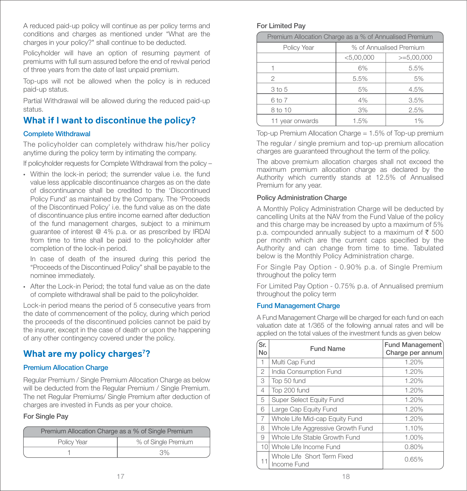A reduced paid-up policy will continue as per policy terms and conditions and charges as mentioned under "What are the charges in your policy?" shall continue to be deducted.

Policyholder will have an option of resuming payment of premiums with full sum assured before the end of revival period of three years from the date of last unpaid premium.

Top-ups will not be allowed when the policy is in reduced paid-up status.

Partial Withdrawal will be allowed during the reduced paid-up status.

# **What if I want to discontinue the policy?**

# Complete Withdrawal

The policyholder can completely withdraw his/her policy anytime during the policy term by intimating the company.

If policyholder requests for Complete Withdrawal from the policy –

• Within the lock-in period; the surrender value i.e. the fund value less applicable discontinuance charges as on the date of discontinuance shall be credited to the 'Discontinued Policy Fund' as maintained by the Company. The 'Proceeds of the Discontinued Policy' i.e. the fund value as on the date of discontinuance plus entire income earned after deduction of the fund management charges, subject to a minimum guarantee of interest @ 4% p.a. or as prescribed by IRDAI from time to time shall be paid to the policyholder after completion of the lock-in period.

 In case of death of the insured during this period the "Proceeds of the Discontinued Policy" shall be payable to the nominee immediately.

• After the Lock-in Period; the total fund value as on the date of complete withdrawal shall be paid to the policyholder.

Lock-in period means the period of 5 consecutive years from the date of commencement of the policy, during which period the proceeds of the discontinued policies cannot be paid by the insurer, except in the case of death or upon the happening of any other contingency covered under the policy.

# **What are my policy charges7 ?**

# Premium Allocation Charge

Regular Premium / Single Premium Allocation Charge as below will be deducted from the Regular Premium / Single Premium. The net Regular Premiums/ Single Premium after deduction of charges are invested in Funds as per your choice.

# For Single Pay

| Premium Allocation Charge as a % of Single Premium |                     |  |
|----------------------------------------------------|---------------------|--|
| Policy Year                                        | % of Single Premium |  |
|                                                    | 3%                  |  |

#### For Limited Pay

| Premium Allocation Charge as a % of Annualised Premium |                         |              |  |
|--------------------------------------------------------|-------------------------|--------------|--|
| Policy Year                                            | % of Annualised Premium |              |  |
|                                                        | < 5,00,000              | $>=5,00,000$ |  |
|                                                        | 6%                      | 5.5%         |  |
| 2                                                      | 5.5%                    | 5%           |  |
| 3 to 5                                                 | 5%                      | 4.5%         |  |
| 6 to 7                                                 | 4%                      | 3.5%         |  |
| 8 to 10                                                | 3%                      | 2.5%         |  |
| 11 year onwards                                        | 1.5%                    | 1%           |  |

Top-up Premium Allocation Charge = 1.5% of Top-up premium

The regular / single premium and top-up premium allocation charges are guaranteed throughout the term of the policy.

The above premium allocation charges shall not exceed the maximum premium allocation charge as declared by the Authority which currently stands at 12.5% of Annualised Premium for any year.

# Policy Administration Charge

A Monthly Policy Administration Charge will be deducted by cancelling Units at the NAV from the Fund Value of the policy and this charge may be increased by upto a maximum of 5% p.a. compounded annually subject to a maximum of  $\bar{\tau}$  500 per month which are the current caps specified by the Authority and can change from time to time. Tabulated below is the Monthly Policy Administration charge.

For Single Pay Option - 0.90% p.a. of Single Premium throughout the policy term

For Limited Pay Option - 0.75% p.a. of Annualised premium throughout the policy term

# Fund Management Charge

A Fund Management Charge will be charged for each fund on each valuation date at 1/365 of the following annual rates and will be applied on the total values of the investment funds as given below

| Sr.<br><b>No</b> | <b>Fund Name</b>                           | <b>Fund Management</b><br>Charge per annum |
|------------------|--------------------------------------------|--------------------------------------------|
| 1                | Multi Cap Fund                             | 1.20%                                      |
| 2                | India Consumption Fund                     | 1.20%                                      |
| 3                | Top 50 fund                                | 1.20%                                      |
| $\overline{4}$   | Top 200 fund                               | 1.20%                                      |
| 5                | Super Select Equity Fund                   | 1.20%                                      |
| 6                | Large Cap Equity Fund                      | 1.20%                                      |
| 7                | Whole Life Mid-cap Equity Fund             | 1.20%                                      |
| 8                | Whole Life Aggressive Growth Fund          | 1.10%                                      |
| 9                | Whole Life Stable Growth Fund              | 1.00%                                      |
| 10 <sup>1</sup>  | Whole Life Income Fund                     | 0.80%                                      |
|                  | Whole Life Short Term Fixed<br>Income Fund | 0.65%                                      |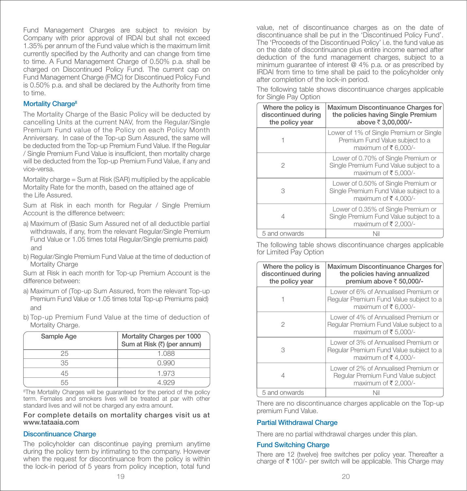Fund Management Charges are subject to revision by Company with prior approval of IRDAI but shall not exceed 1.35% per annum of the Fund value which is the maximum limit currently specified by the Authority and can change from time to time. A Fund Management Charge of 0.50% p.a. shall be charged on Discontinued Policy Fund. The current cap on Fund Management Charge (FMC) for Discontinued Policy Fund is 0.50% p.a. and shall be declared by the Authority from time to time.

#### Mortality Charge<sup>8</sup>

The Mortality Charge of the Basic Policy will be deducted by cancelling Units at the current NAV, from the Regular/Single Premium Fund value of the Policy on each Policy Month Anniversary. In case of the Top-up Sum Assured, the same will be deducted from the Top-up Premium Fund Value. If the Regular / Single Premium Fund Value is insufficient, then mortality charge will be deducted from the Top-up Premium Fund Value, if any and vice-versa.

Mortality charge = Sum at Risk (SAR) multiplied by the applicable Mortality Rate for the month, based on the attained age of the Life Assured.

Sum at Risk in each month for Regular / Single Premium Account is the difference between:

- a) Maximum of (Basic Sum Assured net of all deductible partial withdrawals, if any, from the relevant Regular/Single Premium Fund Value or 1.05 times total Regular/Single premiums paid) and
- b) Regular/Single Premium Fund Value at the time of deduction of Mortality Charge

Sum at Risk in each month for Top-up Premium Account is the difference between:

- a) Maximum of (Top-up Sum Assured, from the relevant Top-up Premium Fund Value or 1.05 times total Top-up Premiums paid) and
- b) Top-up Premium Fund Value at the time of deduction of Mortality Charge.

| Sample Age | Mortality Charges per 1000<br>Sum at Risk (₹) (per annum) |
|------------|-----------------------------------------------------------|
| 25         | 1.088                                                     |
| 35         | 0.990                                                     |
| 45         | 1.973                                                     |
|            |                                                           |

<sup>8</sup>The Mortality Charges will be guaranteed for the period of the policy term. Females and smokers lives will be treated at par with other standard lives and will not be charged any extra amount.

#### For complete details on mortality charges visit us at www.tataaia.com

#### Discontinuance Charge

The policyholder can discontinue paying premium anytime during the policy term by intimating to the company. However when the request for discontinuance from the policy is within the lock-in period of 5 years from policy inception, total fund

value, net of discontinuance charges as on the date of discontinuance shall be put in the 'Discontinued Policy Fund'. The 'Proceeds of the Discontinued Policy' i.e. the fund value as on the date of discontinuance plus entire income earned after deduction of the fund management charges, subject to a minimum guarantee of interest @ 4% p.a. or as prescribed by IRDAI from time to time shall be paid to the policyholder only after completion of the lock-in period.

| Where the policy is<br>discontinued during<br>the policy year | Maximum Discontinuance Charges for<br>the policies having Single Premium<br>above ₹ 3,00,000/-        |
|---------------------------------------------------------------|-------------------------------------------------------------------------------------------------------|
|                                                               | Lower of 1% of Single Premium or Single<br>Premium Fund Value subject to a<br>maximum of ₹6,000/-     |
| 2                                                             | Lower of 0.70% of Single Premium or<br>Single Premium Fund Value subject to a<br>maximum of ₹5,000/-  |
| 3                                                             | Lower of 0.50% of Single Premium or<br>Single Premium Fund Value subject to a<br>maximum of ₹4.000/-  |
| 4                                                             | Lower of 0.35% of Single Premium or<br>Single Premium Fund Value subject to a<br>maximum of ₹ 2,000/- |
| 5 and onwards                                                 | Nil                                                                                                   |

The following table shows discontinuance charges applicable for Single Pay Option

The following table shows discontinuance charges applicable for Limited Pay Option

| Where the policy is<br>discontinued during<br>the policy year | Maximum Discontinuance Charges for<br>the policies having annualized<br>premium above ₹ 50,000/-        |
|---------------------------------------------------------------|---------------------------------------------------------------------------------------------------------|
|                                                               | Lower of 6% of Annualised Premium or<br>Regular Premium Fund Value subject to a<br>maximum of ₹6,000/-  |
| 2                                                             | Lower of 4% of Annualised Premium or<br>Regular Premium Fund Value subject to a<br>maximum of ₹ 5,000/- |
| 3                                                             | Lower of 3% of Annualised Premium or<br>Regular Premium Fund Value subject to a<br>maximum of ₹4,000/-  |
| 4                                                             | Lower of 2% of Annualised Premium or<br>Regular Premium Fund Value subject<br>maximum of ₹ 2,000/-      |
| 5 and onwards                                                 | Nil                                                                                                     |

There are no discontinuance charges applicable on the Top-up premium Fund Value.

#### Partial Withdrawal Charge

There are no partial withdrawal charges under this plan.

#### Fund Switching Charge

There are 12 (twelve) free switches per policy year. Thereafter a charge of  $\bar{\tau}$  100/- per switch will be applicable. This Charge may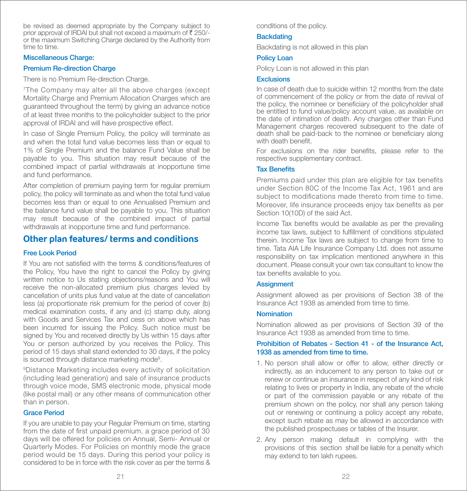be revised as deemed appropriate by the Company subject to prior approval of IRDAI but shall not exceed a maximum of  $\bar{\xi}$  250/or the maximum Switching Charge declared by the Authority from time to time.

#### Miscellaneous Charge:

# Premium Re-direction Charge

There is no Premium Re-direction Charge.

7The Company may alter all the above charges (except Mortality Charge and Premium Allocation Charges which are guaranteed throughout the term) by giving an advance notice of at least three months to the policyholder subject to the prior approval of IRDAI and will have prospective effect.

In case of Single Premium Policy, the policy will terminate as and when the total fund value becomes less than or equal to 1% of Single Premium and the balance Fund Value shall be payable to you. This situation may result because of the combined impact of partial withdrawals at inopportune time and fund performance.

After completion of premium paying term for regular premium policy, the policy will terminate as and when the total fund value becomes less than or equal to one Annualised Premium and the balance fund value shall be payable to you. This situation may result because of the combined impact of partial withdrawals at inopportune time and fund performance.

# **Other plan features/ terms and conditions**

# Free Look Period

If You are not satisfied with the terms & conditions/features of the Policy, You have the right to cancel the Policy by giving written notice to Us stating objections/reasons and You will receive the non-allocated premium plus charges levied by cancellation of units plus fund value at the date of cancellation less (a) proportionate risk premium for the period of cover (b) medical examination costs, if any and (c) stamp duty, along with Goods and Services Tax and cess on above which has been incurred for issuing the Policy. Such notice must be signed by You and received directly by Us within 15 days after You or person authorized by you receives the Policy. This period of 15 days shall stand extended to 30 days, if the policy is sourced through distance marketing mode<sup>9</sup>.

9Distance Marketing includes every activity of solicitation (including lead generation) and sale of insurance products through voice mode, SMS electronic mode, physical mode (like postal mail) or any other means of communication other than in person.

# Grace Period

If you are unable to pay your Regular Premium on time, starting from the date of first unpaid premium, a grace period of  $30$ days will be offered for policies on Annual, Semi- Annual or Quarterly Modes. For Policies on monthly mode the grace period would be 15 days. During this period your policy is considered to be in force with the risk cover as per the terms &

conditions of the policy.

# **Backdating**

Backdating is not allowed in this plan

# Policy Loan

Policy Loan is not allowed in this plan

#### **Exclusions**

In case of death due to suicide within 12 months from the date of commencement of the policy or from the date of revival of the policy, the nominee or beneficiary of the policyholder shall be entitled to fund value/policy account value, as available on the date of intimation of death. Any charges other than Fund Management charges recovered subsequent to the date of death shall be paid-back to the nominee or beneficiary along with death benefit

For exclusions on the rider benefits, please refer to the respective supplementary contract.

#### **Tax Benefits**

Premiums paid under this plan are eligible for tax benefits under Section 80C of the Income Tax Act, 1961 and are subiect to modifications made thereto from time to time. Moreover, life insurance proceeds enjoy tax benefits as per Section 10(10D) of the said Act.

Income Tax benefits would be available as per the prevailing income tax laws, subject to fulllment of conditions stipulated therein. Income Tax laws are subject to change from time to time. Tata AIA Life Insurance Company Ltd. does not assume responsibility on tax implication mentioned anywhere in this document. Please consult your own tax consultant to know the tax benefits available to you.

# **Assignment**

Assignment allowed as per provisions of Section 38 of the Insurance Act 1938 as amended from time to time.

#### **Nomination**

Nomination allowed as per provisions of Section 39 of the Insurance Act 1938 as amended from time to time.

# Prohibition of Rebates - Section 41 - of the Insurance Act, 1938 as amended from time to time.

- 1. No person shall allow or offer to allow, either directly or indirectly, as an inducement to any person to take out or renew or continue an insurance in respect of any kind of risk relating to lives or property in India, any rebate of the whole or part of the commission payable or any rebate of the premium shown on the policy, nor shall any person taking out or renewing or continuing a policy accept any rebate, except such rebate as may be allowed in accordance with the published prospectuses or tables of the Insurer.
- 2. Any person making default in complying with the provisions of this section shall be liable for a penalty which may extend to ten lakh rupees.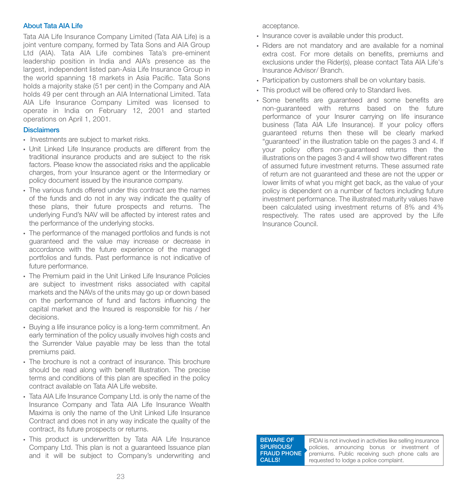#### About Tata AIA Life

Tata AIA Life Insurance Company Limited (Tata AIA Life) is a joint venture company, formed by Tata Sons and AIA Group Ltd (AIA). Tata AIA Life combines Tata's pre-eminent leadership position in India and AIA's presence as the largest, independent listed pan-Asia Life Insurance Group in the world spanning 18 markets in Asia Pacific. Tata Sons holds a majority stake (51 per cent) in the Company and AIA holds 49 per cent through an AIA International Limited. Tata AIA Life Insurance Company Limited was licensed to operate in India on February 12, 2001 and started operations on April 1, 2001.

#### **Disclaimers**

- Investments are subject to market risks.
- Unit Linked Life Insurance products are different from the traditional insurance products and are subject to the risk factors. Please know the associated risks and the applicable charges, from your Insurance agent or the Intermediary or policy document issued by the insurance company.
- The various funds offered under this contract are the names of the funds and do not in any way indicate the quality of these plans, their future prospects and returns. The underlying Fund's NAV will be affected by interest rates and the performance of the underlying stocks.
- The performance of the managed portfolios and funds is not guaranteed and the value may increase or decrease in accordance with the future experience of the managed portfolios and funds. Past performance is not indicative of future performance.
- The Premium paid in the Unit Linked Life Insurance Policies are subject to investment risks associated with capital markets and the NAVs of the units may go up or down based on the performance of fund and factors influencing the capital market and the Insured is responsible for his / her decisions.
- Buying a life insurance policy is a long-term commitment. An early termination of the policy usually involves high costs and the Surrender Value payable may be less than the total premiums paid.
- The brochure is not a contract of insurance. This brochure should be read along with benefit Illustration. The precise terms and conditions of this plan are specified in the policy contract available on Tata AIA Life website.
- Tata AIA Life Insurance Company Ltd. is only the name of the Insurance Company and Tata AIA Life Insurance Wealth Maxima is only the name of the Unit Linked Life Insurance Contract and does not in any way indicate the quality of the contract, its future prospects or returns.
- This product is underwritten by Tata AIA Life Insurance Company Ltd. This plan is not a guaranteed Issuance plan and it will be subject to Company's underwriting and

acceptance.

- Insurance cover is available under this product.
- Riders are not mandatory and are available for a nominal extra cost. For more details on benefits, premiums and exclusions under the Rider(s), please contact Tata AIA Life's Insurance Advisor/ Branch.
- Participation by customers shall be on voluntary basis.
- This product will be offered only to Standard lives.
- Some benefits are guaranteed and some benefits are non-guaranteed with returns based on the future performance of your Insurer carrying on life insurance business (Tata AIA Life Insurance). If your policy offers guaranteed returns then these will be clearly marked "guaranteed' in the illustration table on the pages 3 and 4. If your policy offers non-guaranteed returns then the illustrations on the pages 3 and 4 will show two different rates of assumed future investment returns. These assumed rate of return are not guaranteed and these are not the upper or lower limits of what you might get back, as the value of your policy is dependent on a number of factors including future investment performance. The illustrated maturity values have been calculated using investment returns of 8% and 4% respectively. The rates used are approved by the Life Insurance Council.

BEWARE OF SPURIOUS/ **FRAUD PHONE** CALLS!

IRDAI is not involved in activities like selling insurance policies, announcing bonus or investment of premiums. Public receiving such phone calls are requested to lodge a police complaint.